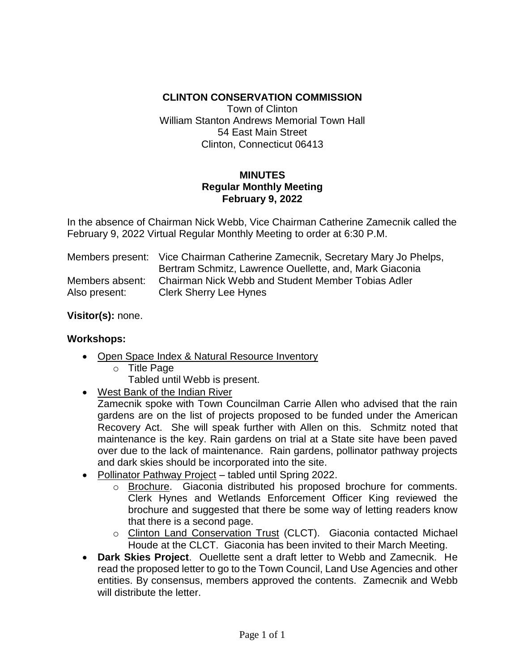## **CLINTON CONSERVATION COMMISSION**

Town of Clinton William Stanton Andrews Memorial Town Hall 54 East Main Street Clinton, Connecticut 06413

## **MINUTES Regular Monthly Meeting February 9, 2022**

In the absence of Chairman Nick Webb, Vice Chairman Catherine Zamecnik called the February 9, 2022 Virtual Regular Monthly Meeting to order at 6:30 P.M.

|                 | Members present: Vice Chairman Catherine Zamecnik, Secretary Mary Jo Phelps,<br>Bertram Schmitz, Lawrence Ouellette, and, Mark Giaconia |
|-----------------|-----------------------------------------------------------------------------------------------------------------------------------------|
| Members absent: | Chairman Nick Webb and Student Member Tobias Adler                                                                                      |
| Also present:   | Clerk Sherry Lee Hynes                                                                                                                  |

**Visitor(s):** none.

## **Workshops:**

- Open Space Index & Natural Resource Inventory
	- o Title Page

Tabled until Webb is present.

West Bank of the Indian River

Zamecnik spoke with Town Councilman Carrie Allen who advised that the rain gardens are on the list of projects proposed to be funded under the American Recovery Act. She will speak further with Allen on this. Schmitz noted that maintenance is the key. Rain gardens on trial at a State site have been paved over due to the lack of maintenance. Rain gardens, pollinator pathway projects and dark skies should be incorporated into the site.

- Pollinator Pathway Project tabled until Spring 2022.
	- o Brochure. Giaconia distributed his proposed brochure for comments. Clerk Hynes and Wetlands Enforcement Officer King reviewed the brochure and suggested that there be some way of letting readers know that there is a second page.
	- o Clinton Land Conservation Trust (CLCT). Giaconia contacted Michael Houde at the CLCT. Giaconia has been invited to their March Meeting.
- **Dark Skies Project**. Ouellette sent a draft letter to Webb and Zamecnik. He read the proposed letter to go to the Town Council, Land Use Agencies and other entities. By consensus, members approved the contents. Zamecnik and Webb will distribute the letter.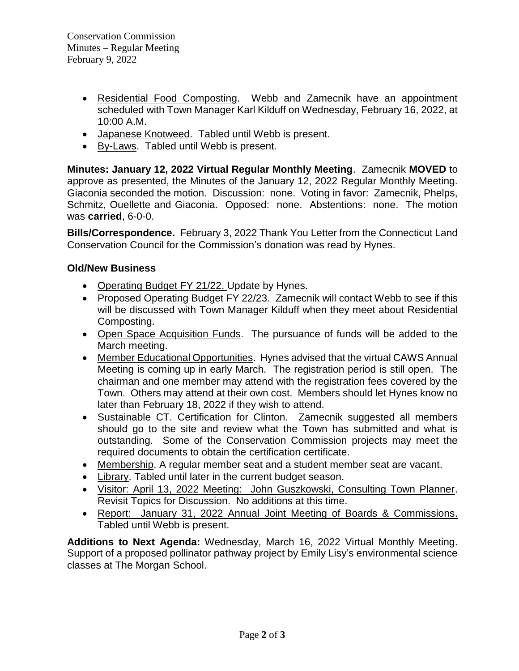- Residential Food Composting. Webb and Zamecnik have an appointment scheduled with Town Manager Karl Kilduff on Wednesday, February 16, 2022, at 10:00 A.M.
- Japanese Knotweed. Tabled until Webb is present.
- By-Laws. Tabled until Webb is present.

**Minutes: January 12, 2022 Virtual Regular Monthly Meeting**. Zamecnik **MOVED** to approve as presented, the Minutes of the January 12, 2022 Regular Monthly Meeting. Giaconia seconded the motion. Discussion: none. Voting in favor: Zamecnik, Phelps, Schmitz, Ouellette and Giaconia. Opposed: none. Abstentions: none. The motion was **carried**, 6-0-0.

**Bills/Correspondence.** February 3, 2022 Thank You Letter from the Connecticut Land Conservation Council for the Commission's donation was read by Hynes.

## **Old/New Business**

- Operating Budget FY 21/22. Update by Hynes.
- Proposed Operating Budget FY 22/23. Zamecnik will contact Webb to see if this will be discussed with Town Manager Kilduff when they meet about Residential Composting.
- Open Space Acquisition Funds. The pursuance of funds will be added to the March meeting.
- Member Educational Opportunities. Hynes advised that the virtual CAWS Annual Meeting is coming up in early March. The registration period is still open. The chairman and one member may attend with the registration fees covered by the Town. Others may attend at their own cost. Members should let Hynes know no later than February 18, 2022 if they wish to attend.
- Sustainable CT. Certification for Clinton. Zamecnik suggested all members should go to the site and review what the Town has submitted and what is outstanding. Some of the Conservation Commission projects may meet the required documents to obtain the certification certificate.
- Membership. A regular member seat and a student member seat are vacant.
- Library. Tabled until later in the current budget season.
- Visitor: April 13, 2022 Meeting: John Guszkowski, Consulting Town Planner. Revisit Topics for Discussion. No additions at this time.
- Report: January 31, 2022 Annual Joint Meeting of Boards & Commissions. Tabled until Webb is present.

**Additions to Next Agenda:** Wednesday, March 16, 2022 Virtual Monthly Meeting. Support of a proposed pollinator pathway project by Emily Lisy's environmental science classes at The Morgan School.